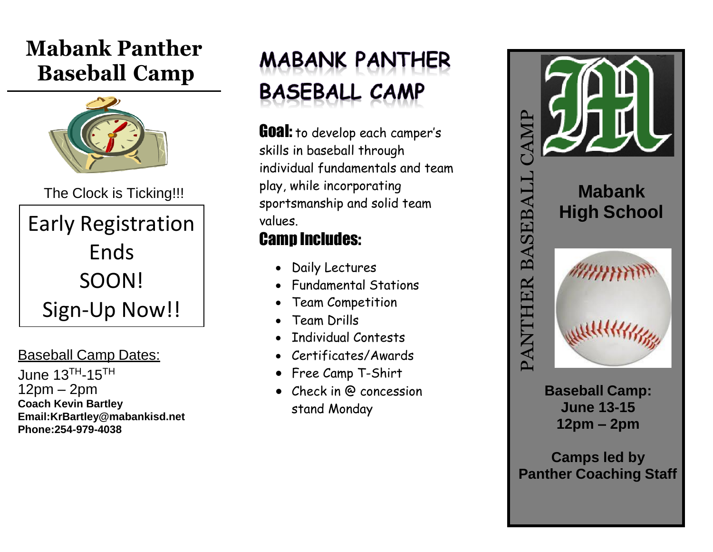## **Mabank Panther Baseball Camp**



The Clock is Ticking!!!

Early Registration Ends SOON! Sign-Up Now!!

Baseball Camp Dates:

June  $13<sup>TH</sup> - 15<sup>TH</sup>$ 12pm – 2pm **Coach Kevin Bartley Email:KrBartley@mabankisd.net Phone:254-979-4038**

## **MABANK PANTHER BASEBALL CAMP**

**Goal:** to develop each camper's skills in baseball through individual fundamentals and team play, while incorporating sportsmanship and solid team values.

## Camp Includes:

- Daily Lectures
- Fundamental Stations
- Team Competition
- Team Drills
- Individual Contests
- Certificates/Awards
- Free Camp T-Shirt
- Check in @ concession stand Monday



**Baseball Camp: June 13-15 12pm – 2pm**

**Camps led by**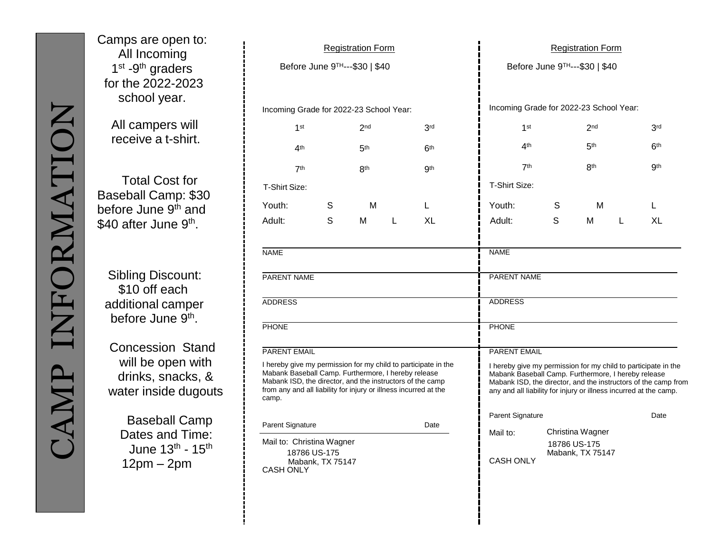Camps are open to: All Incoming 1<sup>st</sup> -9<sup>th</sup> graders for the 2022-2023 school year.

> All campers will receive a t-shirt.

Total Cost for Baseball Camp: \$30 before June 9<sup>th</sup> and \$40 after June 9<sup>th</sup>.

Sibling Discount: \$10 off each additional camper before June 9<sup>th</sup>.

Concession Stand will be open with drinks, snacks, & water inside dugouts

> Baseball Camp Dates and Time: June 13<sup>th</sup> - 15<sup>th</sup> 12pm – 2pm

| <b>Registration Form</b>                                                                                                                                                                                                                                                                                                                                      |                  |                 |   |                 | <b>Registration Form</b>                                                                                                                                                                                                                                                                                                                                                               |              |                                      |   |                  |
|---------------------------------------------------------------------------------------------------------------------------------------------------------------------------------------------------------------------------------------------------------------------------------------------------------------------------------------------------------------|------------------|-----------------|---|-----------------|----------------------------------------------------------------------------------------------------------------------------------------------------------------------------------------------------------------------------------------------------------------------------------------------------------------------------------------------------------------------------------------|--------------|--------------------------------------|---|------------------|
| Before June 9TH---\$30   \$40                                                                                                                                                                                                                                                                                                                                 |                  |                 |   |                 | Before June 9TH---\$30   \$40                                                                                                                                                                                                                                                                                                                                                          |              |                                      |   |                  |
| Incoming Grade for 2022-23 School Year:                                                                                                                                                                                                                                                                                                                       |                  |                 |   |                 | Incoming Grade for 2022-23 School Year:                                                                                                                                                                                                                                                                                                                                                |              |                                      |   |                  |
| 1st                                                                                                                                                                                                                                                                                                                                                           |                  | 2 <sub>nd</sub> |   | 3 <sup>rd</sup> | 1st                                                                                                                                                                                                                                                                                                                                                                                    |              | 2 <sub>nd</sub>                      |   | 3 <sup>rd</sup>  |
| 4 <sup>th</sup>                                                                                                                                                                                                                                                                                                                                               |                  | 5 <sup>th</sup> |   | 6 <sup>th</sup> | 4 <sup>th</sup>                                                                                                                                                                                                                                                                                                                                                                        |              | 5 <sup>th</sup>                      |   | 6 <sup>th</sup>  |
| 7 <sup>th</sup>                                                                                                                                                                                                                                                                                                                                               |                  | <b>8th</b>      |   | <b>9th</b>      | 7th                                                                                                                                                                                                                                                                                                                                                                                    |              | 8th                                  |   | .9 <sub>th</sub> |
| T-Shirt Size:                                                                                                                                                                                                                                                                                                                                                 |                  |                 |   |                 | T-Shirt Size:                                                                                                                                                                                                                                                                                                                                                                          |              |                                      |   |                  |
| Youth:                                                                                                                                                                                                                                                                                                                                                        | S                | M               |   | L               | Youth:                                                                                                                                                                                                                                                                                                                                                                                 | S            | M                                    |   | L                |
| Adult:                                                                                                                                                                                                                                                                                                                                                        | S                | М               | L | <b>XL</b>       | Adult:                                                                                                                                                                                                                                                                                                                                                                                 | S            | M                                    | L | <b>XL</b>        |
| <b>NAME</b><br><b>PARENT NAME</b><br><b>ADDRESS</b><br><b>PHONE</b><br><b>PARENT EMAIL</b><br>I hereby give my permission for my child to participate in the<br>Mabank Baseball Camp. Furthermore, I hereby release<br>Mabank ISD, the director, and the instructors of the camp<br>from any and all liability for injury or illness incurred at the<br>camp. |                  |                 |   |                 | <b>NAME</b><br><b>PARENT NAME</b><br><b>ADDRESS</b><br><b>PHONE</b><br><b>PARENT EMAIL</b><br>I hereby give my permission for my child to participate in the<br>Mabank Baseball Camp. Furthermore, I hereby release<br>Mabank ISD, the director, and the instructors of the camp from<br>any and all liability for injury or illness incurred at the camp.<br>Parent Signature<br>Date |              |                                      |   |                  |
| Parent Signature<br>Mail to: Christina Wagner<br>18786 US-175<br><b>CASH ONLY</b>                                                                                                                                                                                                                                                                             | Mabank, TX 75147 |                 |   | Date            | Mail to:<br><b>CASH ONLY</b>                                                                                                                                                                                                                                                                                                                                                           | 18786 US-175 | Christina Wagner<br>Mabank, TX 75147 |   |                  |